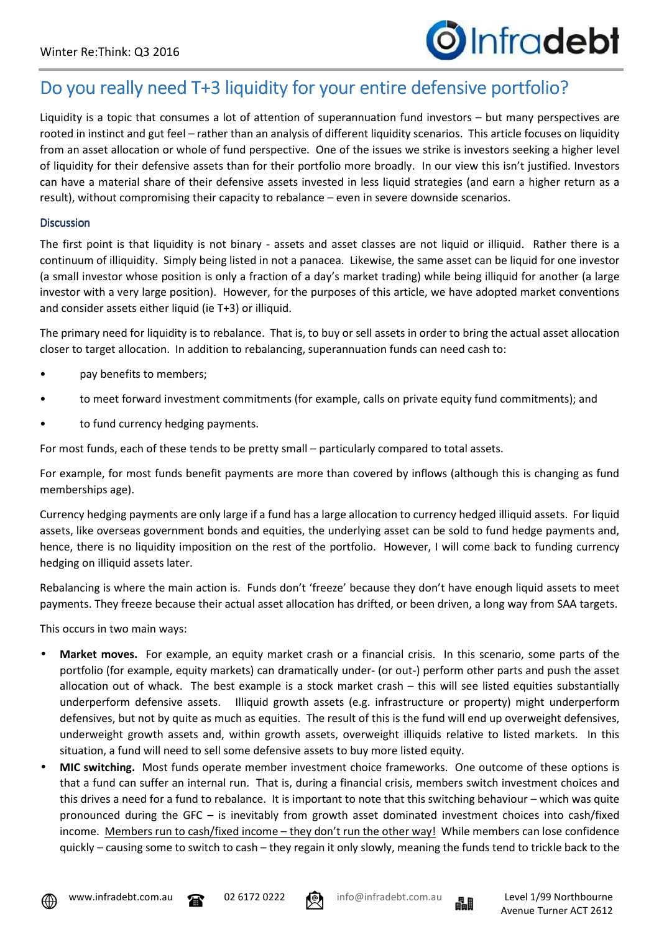

## Do you really need T+3 liquidity for your entire defensive portfolio?

Liquidity is a topic that consumes a lot of attention of superannuation fund investors – but many perspectives are rooted in instinct and gut feel – rather than an analysis of different liquidity scenarios. This article focuses on liquidity from an asset allocation or whole of fund perspective. One of the issues we strike is investors seeking a higher level of liquidity for their defensive assets than for their portfolio more broadly. In our view this isn't justified. Investors can have a material share of their defensive assets invested in less liquid strategies (and earn a higher return as a result), without compromising their capacity to rebalance – even in severe downside scenarios.

## **Discussion**

The first point is that liquidity is not binary - assets and asset classes are not liquid or illiquid. Rather there is a continuum of illiquidity. Simply being listed in not a panacea. Likewise, the same asset can be liquid for one investor (a small investor whose position is only a fraction of a day's market trading) while being illiquid for another (a large investor with a very large position). However, for the purposes of this article, we have adopted market conventions and consider assets either liquid (ie T+3) or illiquid.

The primary need for liquidity is to rebalance. That is, to buy or sell assets in order to bring the actual asset allocation closer to target allocation. In addition to rebalancing, superannuation funds can need cash to:

- pay benefits to members;
- to meet forward investment commitments (for example, calls on private equity fund commitments); and
- to fund currency hedging payments.

For most funds, each of these tends to be pretty small – particularly compared to total assets.

For example, for most funds benefit payments are more than covered by inflows (although this is changing as fund memberships age).

Currency hedging payments are only large if a fund has a large allocation to currency hedged illiquid assets. For liquid assets, like overseas government bonds and equities, the underlying asset can be sold to fund hedge payments and, hence, there is no liquidity imposition on the rest of the portfolio. However, I will come back to funding currency hedging on illiquid assets later.

Rebalancing is where the main action is. Funds don't 'freeze' because they don't have enough liquid assets to meet payments. They freeze because their actual asset allocation has drifted, or been driven, a long way from SAA targets.

This occurs in two main ways:

- **Market moves.** For example, an equity market crash or a financial crisis. In this scenario, some parts of the portfolio (for example, equity markets) can dramatically under- (or out-) perform other parts and push the asset allocation out of whack. The best example is a stock market crash – this will see listed equities substantially underperform defensive assets. Illiquid growth assets (e.g. infrastructure or property) might underperform defensives, but not by quite as much as equities. The result of this is the fund will end up overweight defensives, underweight growth assets and, within growth assets, overweight illiquids relative to listed markets. In this situation, a fund will need to sell some defensive assets to buy more listed equity.
- **MIC switching.** Most funds operate member investment choice frameworks. One outcome of these options is that a fund can suffer an internal run. That is, during a financial crisis, members switch investment choices and this drives a need for a fund to rebalance. It is important to note that this switching behaviour – which was quite pronounced during the GFC – is inevitably from growth asset dominated investment choices into cash/fixed income. Members run to cash/fixed income – they don't run the other way! While members can lose confidence quickly – causing some to switch to cash – they regain it only slowly, meaning the funds tend to trickle back to the



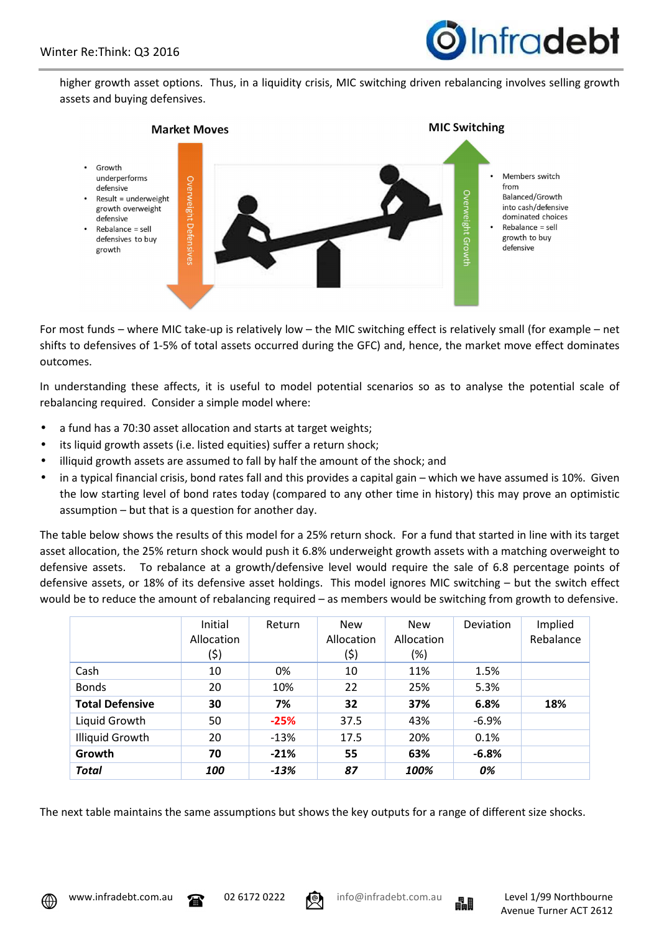

higher growth asset options. Thus, in a liquidity crisis, MIC switching driven rebalancing involves selling growth assets and buying defensives.



For most funds – where MIC take-up is relatively low – the MIC switching effect is relatively small (for example – net shifts to defensives of 1-5% of total assets occurred during the GFC) and, hence, the market move effect dominates outcomes.

In understanding these affects, it is useful to model potential scenarios so as to analyse the potential scale of rebalancing required. Consider a simple model where:

- a fund has a 70:30 asset allocation and starts at target weights;
- its liquid growth assets (i.e. listed equities) suffer a return shock;
- illiquid growth assets are assumed to fall by half the amount of the shock; and
- in a typical financial crisis, bond rates fall and this provides a capital gain which we have assumed is 10%. Given the low starting level of bond rates today (compared to any other time in history) this may prove an optimistic assumption – but that is a question for another day.

The table below shows the results of this model for a 25% return shock. For a fund that started in line with its target asset allocation, the 25% return shock would push it 6.8% underweight growth assets with a matching overweight to defensive assets. To rebalance at a growth/defensive level would require the sale of 6.8 percentage points of defensive assets, or 18% of its defensive asset holdings. This model ignores MIC switching – but the switch effect would be to reduce the amount of rebalancing required – as members would be switching from growth to defensive.

|                        | Initial<br>Allocation<br>(\$) | Return | <b>New</b><br>Allocation<br>(\$) | <b>New</b><br>Allocation<br>$(\%)$ | <b>Deviation</b> | Implied<br>Rebalance |
|------------------------|-------------------------------|--------|----------------------------------|------------------------------------|------------------|----------------------|
| Cash                   | 10                            | 0%     | 10                               | 11%                                | 1.5%             |                      |
| <b>Bonds</b>           | 20                            | 10%    | 22                               | 25%                                | 5.3%             |                      |
| <b>Total Defensive</b> | 30                            | 7%     | 32                               | 37%                                | 6.8%             | 18%                  |
| Liquid Growth          | 50                            | $-25%$ | 37.5                             | 43%                                | $-6.9%$          |                      |
| Illiquid Growth        | 20                            | $-13%$ | 17.5                             | 20%                                | 0.1%             |                      |
| Growth                 | 70                            | $-21%$ | 55                               | 63%                                | $-6.8%$          |                      |
| <b>Total</b>           | 100                           | $-13%$ | 87                               | 100%                               | 0%               |                      |

The next table maintains the same assumptions but shows the key outputs for a range of different size shocks.

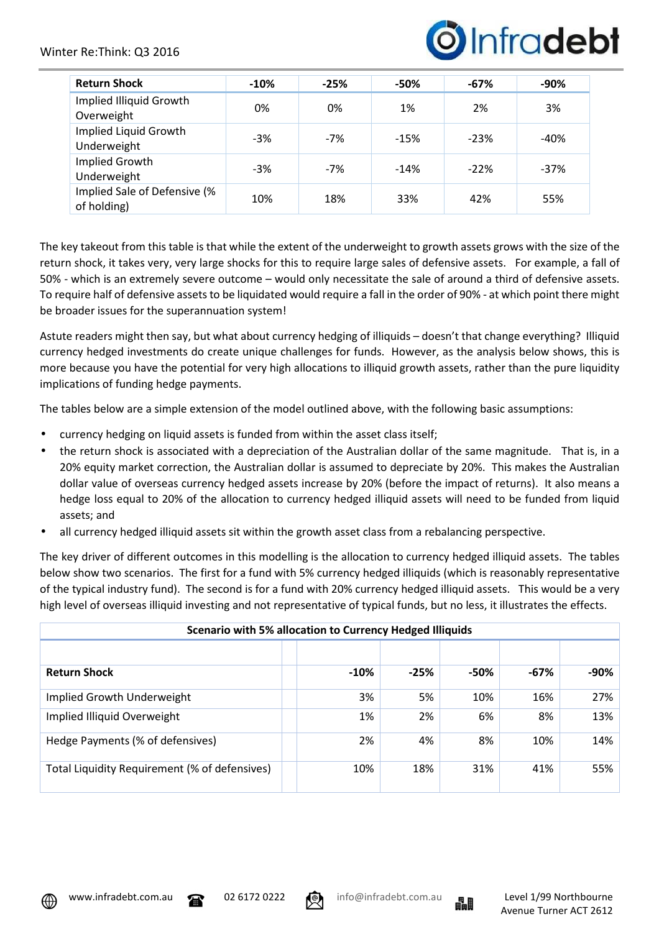## Winter Re:Think: Q3 2016



| <b>Return Shock</b>                         | $-10%$ | $-25%$ | $-50%$ | $-67%$ | -90%   |
|---------------------------------------------|--------|--------|--------|--------|--------|
| Implied Illiquid Growth<br>Overweight       | 0%     | 0%     | 1%     | 2%     | 3%     |
| Implied Liquid Growth<br>Underweight        | $-3%$  | $-7%$  | $-15%$ | $-23%$ | -40%   |
| Implied Growth<br>Underweight               | $-3%$  | $-7%$  | $-14%$ | $-22%$ | $-37%$ |
| Implied Sale of Defensive (%<br>of holding) | 10%    | 18%    | 33%    | 42%    | 55%    |

The key takeout from this table is that while the extent of the underweight to growth assets grows with the size of the return shock, it takes very, very large shocks for this to require large sales of defensive assets. For example, a fall of 50% - which is an extremely severe outcome – would only necessitate the sale of around a third of defensive assets. To require half of defensive assets to be liquidated would require a fall in the order of 90% - at which point there might be broader issues for the superannuation system!

Astute readers might then say, but what about currency hedging of illiquids – doesn't that change everything? Illiquid currency hedged investments do create unique challenges for funds. However, as the analysis below shows, this is more because you have the potential for very high allocations to illiquid growth assets, rather than the pure liquidity implications of funding hedge payments.

The tables below are a simple extension of the model outlined above, with the following basic assumptions:

- currency hedging on liquid assets is funded from within the asset class itself;
- the return shock is associated with a depreciation of the Australian dollar of the same magnitude. That is, in a 20% equity market correction, the Australian dollar is assumed to depreciate by 20%. This makes the Australian dollar value of overseas currency hedged assets increase by 20% (before the impact of returns). It also means a hedge loss equal to 20% of the allocation to currency hedged illiquid assets will need to be funded from liquid assets; and
- all currency hedged illiquid assets sit within the growth asset class from a rebalancing perspective.

The key driver of different outcomes in this modelling is the allocation to currency hedged illiquid assets. The tables below show two scenarios. The first for a fund with 5% currency hedged illiquids (which is reasonably representative of the typical industry fund). The second is for a fund with 20% currency hedged illiquid assets. This would be a very high level of overseas illiquid investing and not representative of typical funds, but no less, it illustrates the effects.

| Scenario with 5% allocation to Currency Hedged Illiquids |        |        |      |      |      |  |  |
|----------------------------------------------------------|--------|--------|------|------|------|--|--|
|                                                          |        |        |      |      |      |  |  |
| <b>Return Shock</b>                                      | $-10%$ | $-25%$ | -50% | -67% | -90% |  |  |
| Implied Growth Underweight                               | 3%     | 5%     | 10%  | 16%  | 27%  |  |  |
| Implied Illiquid Overweight                              | 1%     | 2%     | 6%   | 8%   | 13%  |  |  |
| Hedge Payments (% of defensives)                         | 2%     | 4%     | 8%   | 10%  | 14%  |  |  |
| Total Liquidity Requirement (% of defensives)            | 10%    | 18%    | 31%  | 41%  | 55%  |  |  |